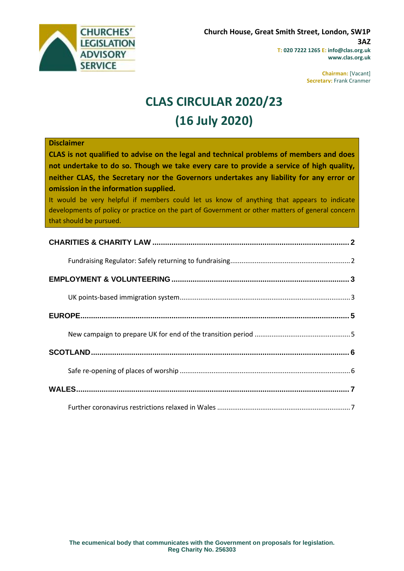

**Chairman:** [Vacant] **Secretary:** Frank Cranmer

# **CLAS CIRCULAR 2020/23 (16 July 2020)**

#### **Disclaimer**

**CLAS is not qualified to advise on the legal and technical problems of members and does not undertake to do so. Though we take every care to provide a service of high quality, neither CLAS, the Secretary nor the Governors undertakes any liability for any error or omission in the information supplied.**

It would be very helpful if members could let us know of anything that appears to indicate developments of policy or practice on the part of Government or other matters of general concern that should be pursued.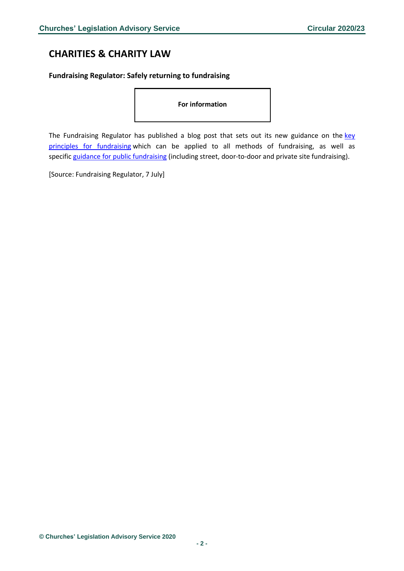## <span id="page-1-0"></span>**CHARITIES & CHARITY LAW**

<span id="page-1-1"></span>**Fundraising Regulator: Safely returning to fundraising**

**For information**

The Fundraising Regulator has published a blog post that sets out its new guidance on the key [principles for fundraising](https://www.fundraisingregulator.org.uk/more-from-us/resources/coronavirus-covid-19-fundraising-key-principles-guidance) which can be applied to all methods of fundraising, as well as specific [guidance for public fundraising](https://www.fundraisingregulator.org.uk/more-from-us/resources/coronavirus-covid-19-public-fundraising-guidance) (including street, door-to-door and private site fundraising).

[Source: Fundraising Regulator, 7 July]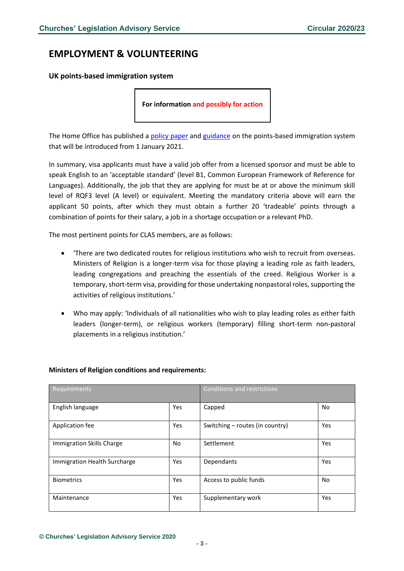### <span id="page-2-0"></span>**EMPLOYMENT & VOLUNTEERING**

<span id="page-2-1"></span>**UK points-based immigration system**

**For information and possibly for action**

The Home Office has published a [policy paper](https://assets.publishing.service.gov.uk/government/uploads/system/uploads/attachment_data/file/899755/UK_Points-Based_System_Further_Details_Web_Accessible.pdf) and [guidance](https://www.gov.uk/guidance/new-immigration-system-what-you-need-to-know) on the points-based immigration system that will be introduced from 1 January 2021.

In summary, visa applicants must have a valid job offer from a licensed sponsor and must be able to speak English to an 'acceptable standard' (level B1, Common European Framework of Reference for Languages). Additionally, the job that they are applying for must be at or above the minimum skill level of RQF3 level (A level) or equivalent. Meeting the mandatory criteria above will earn the applicant 50 points, after which they must obtain a further 20 'tradeable' points through a combination of points for their salary, a job in a shortage occupation or a relevant PhD.

The most pertinent points for CLAS members, are as follows:

- 'There are two dedicated routes for religious institutions who wish to recruit from overseas. Ministers of Religion is a longer-term visa for those playing a leading role as faith leaders, leading congregations and preaching the essentials of the creed. Religious Worker is a temporary, short-term visa, providing for those undertaking nonpastoral roles, supporting the activities of religious institutions.'
- Who may apply: 'Individuals of all nationalities who wish to play leading roles as either faith leaders (longer-term), or religious workers (temporary) filling short-term non-pastoral placements in a religious institution.'

| Requirements                 |     | Conditions and restrictions     |     |
|------------------------------|-----|---------------------------------|-----|
| English language             | Yes | Capped                          | No  |
| Application fee              | Yes | Switching – routes (in country) | Yes |
| Immigration Skills Charge    | No  | Settlement                      | Yes |
| Immigration Health Surcharge | Yes | Dependants                      | Yes |
| <b>Biometrics</b>            | Yes | Access to public funds          | No  |
| Maintenance                  | Yes | Supplementary work              | Yes |

#### **Ministers of Religion conditions and requirements:**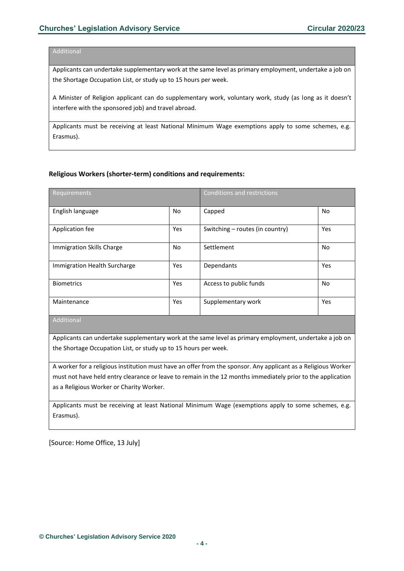#### **Additional**

Applicants can undertake supplementary work at the same level as primary employment, undertake a job on the Shortage Occupation List, or study up to 15 hours per week.

A Minister of Religion applicant can do supplementary work, voluntary work, study (as long as it doesn't interfere with the sponsored job) and travel abroad.

Applicants must be receiving at least National Minimum Wage exemptions apply to some schemes, e.g. Erasmus).

#### **Religious Workers (shorter-term) conditions and requirements:**

| Requirements                 |     | Conditions and restrictions     |           |
|------------------------------|-----|---------------------------------|-----------|
| English language             | No  | Capped                          | <b>No</b> |
| Application fee              | Yes | Switching – routes (in country) | Yes       |
| Immigration Skills Charge    | No  | Settlement                      | No.       |
| Immigration Health Surcharge | Yes | Dependants                      | Yes       |
| <b>Biometrics</b>            | Yes | Access to public funds          | No.       |
| Maintenance                  | Yes | Supplementary work              | Yes       |
| Additional                   |     |                                 |           |

Additional

Applicants can undertake supplementary work at the same level as primary employment, undertake a job on the Shortage Occupation List, or study up to 15 hours per week.

A worker for a religious institution must have an offer from the sponsor. Any applicant as a Religious Worker must not have held entry clearance or leave to remain in the 12 months immediately prior to the application as a Religious Worker or Charity Worker.

Applicants must be receiving at least National Minimum Wage (exemptions apply to some schemes, e.g. Erasmus).

[Source: Home Office, 13 July]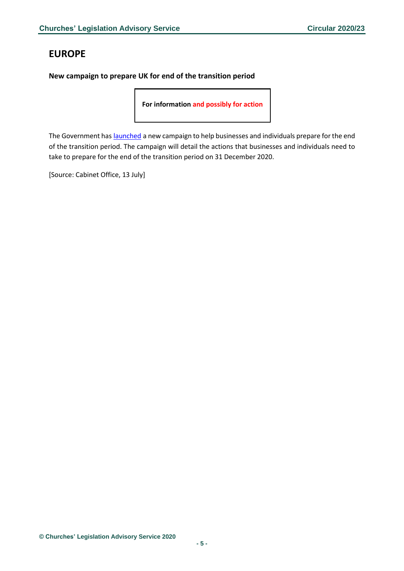## <span id="page-4-0"></span>**EUROPE**

### <span id="page-4-1"></span>**New campaign to prepare UK for end of the transition period**

**For information and possibly for action**

The Government has [launched](https://www.gov.uk/government/news/major-new-campaign-to-prepare-uk-for-end-of-the-transition-period) a new campaign to help businesses and individuals prepare for the end of the transition period. The campaign will detail the actions that businesses and individuals need to take to prepare for the end of the transition period on 31 December 2020.

[Source: Cabinet Office, 13 July]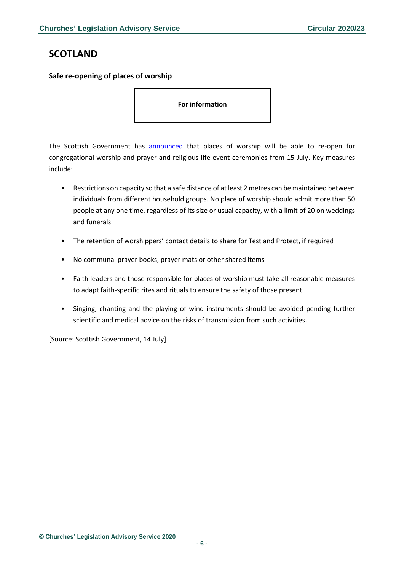### <span id="page-5-0"></span>**SCOTLAND**

<span id="page-5-1"></span>**Safe re-opening of places of worship**

**For information**

The Scottish Government has [announced](https://www.gov.scot/publications/coronavirus-covid-19-phase-3-guidance-for-the-safe-use-of-places-of-worship/) that places of worship will be able to re-open for congregational worship and prayer and religious life event ceremonies from 15 July. Key measures include:

- Restrictions on capacity so that a safe distance of at least 2 metres can be maintained between individuals from different household groups. No place of worship should admit more than 50 people at any one time, regardless of its size or usual capacity, with a limit of 20 on weddings and funerals
- The retention of worshippers' contact details to share for Test and Protect, if required
- No communal prayer books, prayer mats or other shared items
- Faith leaders and those responsible for places of worship must take all reasonable measures to adapt faith-specific rites and rituals to ensure the safety of those present
- Singing, chanting and the playing of wind instruments should be avoided pending further scientific and medical advice on the risks of transmission from such activities.

[Source: Scottish Government, 14 July]